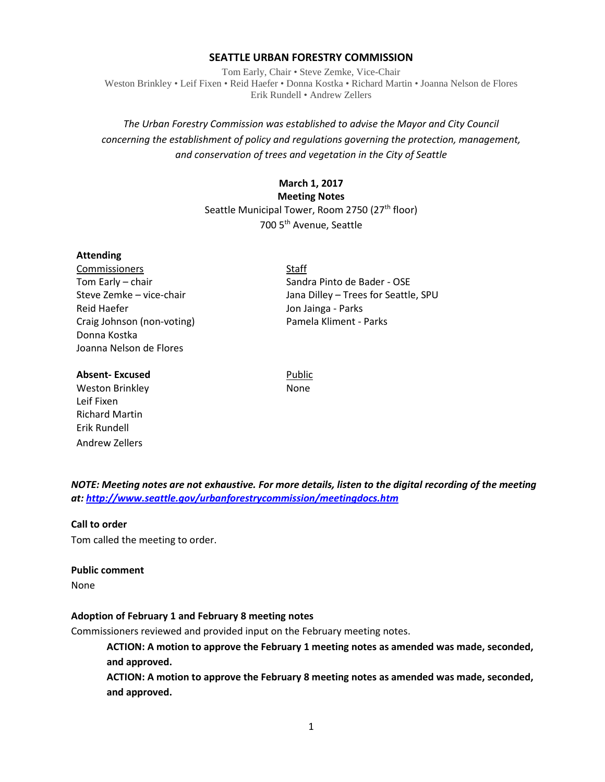### **SEATTLE URBAN FORESTRY COMMISSION**

Tom Early, Chair • Steve Zemke, Vice-Chair Weston Brinkley • Leif Fixen • Reid Haefer • Donna Kostka • Richard Martin • Joanna Nelson de Flores Erik Rundell • Andrew Zellers

# *The Urban Forestry Commission was established to advise the Mayor and City Council concerning the establishment of policy and regulations governing the protection, management, and conservation of trees and vegetation in the City of Seattle*

### **March 1, 2017**

# **Meeting Notes**

Seattle Municipal Tower, Room 2750 (27<sup>th</sup> floor) 700 5th Avenue, Seattle

#### **Attending**

Commissioners Staff Tom Early – chair Sandra Pinto de Bader - OSE Steve Zemke – vice-chair Jana Dilley – Trees for Seattle, SPU Reid Haefer **New You Book Contract Contract Contract Contract Contract Contract Contract Contract Contract Contract Contract Contract Contract Contract Contract Contract Contract Contract Contract Contract Contract Contrac** Craig Johnson (non-voting) Pamela Kliment - Parks Donna Kostka Joanna Nelson de Flores

**Absent-Excused** Public

Weston Brinkley None Leif Fixen Richard Martin Erik Rundell Andrew Zellers

*NOTE: Meeting notes are not exhaustive. For more details, listen to the digital recording of the meeting at:<http://www.seattle.gov/urbanforestrycommission/meetingdocs.htm>*

# **Call to order**

Tom called the meeting to order.

#### **Public comment**

None

#### **Adoption of February 1 and February 8 meeting notes**

Commissioners reviewed and provided input on the February meeting notes.

**ACTION: A motion to approve the February 1 meeting notes as amended was made, seconded, and approved.**

**ACTION: A motion to approve the February 8 meeting notes as amended was made, seconded, and approved.**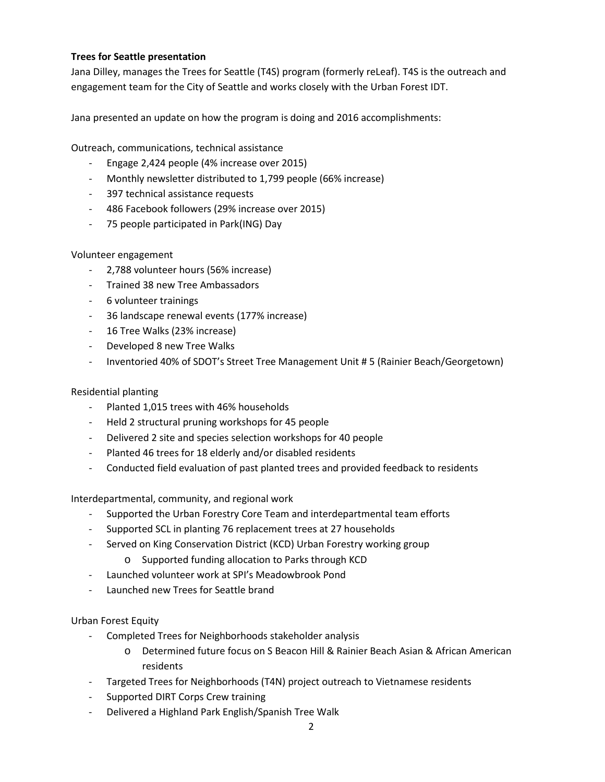# **Trees for Seattle presentation**

Jana Dilley, manages the Trees for Seattle (T4S) program (formerly reLeaf). T4S is the outreach and engagement team for the City of Seattle and works closely with the Urban Forest IDT.

Jana presented an update on how the program is doing and 2016 accomplishments:

Outreach, communications, technical assistance

- Engage 2,424 people (4% increase over 2015)
- Monthly newsletter distributed to 1,799 people (66% increase)
- 397 technical assistance requests
- 486 Facebook followers (29% increase over 2015)
- 75 people participated in Park(ING) Day

# Volunteer engagement

- 2,788 volunteer hours (56% increase)
- Trained 38 new Tree Ambassadors
- 6 volunteer trainings
- 36 landscape renewal events (177% increase)
- 16 Tree Walks (23% increase)
- Developed 8 new Tree Walks
- Inventoried 40% of SDOT's Street Tree Management Unit # 5 (Rainier Beach/Georgetown)

# Residential planting

- Planted 1,015 trees with 46% households
- Held 2 structural pruning workshops for 45 people
- Delivered 2 site and species selection workshops for 40 people
- Planted 46 trees for 18 elderly and/or disabled residents
- Conducted field evaluation of past planted trees and provided feedback to residents

Interdepartmental, community, and regional work

- Supported the Urban Forestry Core Team and interdepartmental team efforts
- Supported SCL in planting 76 replacement trees at 27 households
- Served on King Conservation District (KCD) Urban Forestry working group
	- o Supported funding allocation to Parks through KCD
- Launched volunteer work at SPI's Meadowbrook Pond
- Launched new Trees for Seattle brand

Urban Forest Equity

- Completed Trees for Neighborhoods stakeholder analysis
	- o Determined future focus on S Beacon Hill & Rainier Beach Asian & African American residents
- Targeted Trees for Neighborhoods (T4N) project outreach to Vietnamese residents
- Supported DIRT Corps Crew training
- Delivered a Highland Park English/Spanish Tree Walk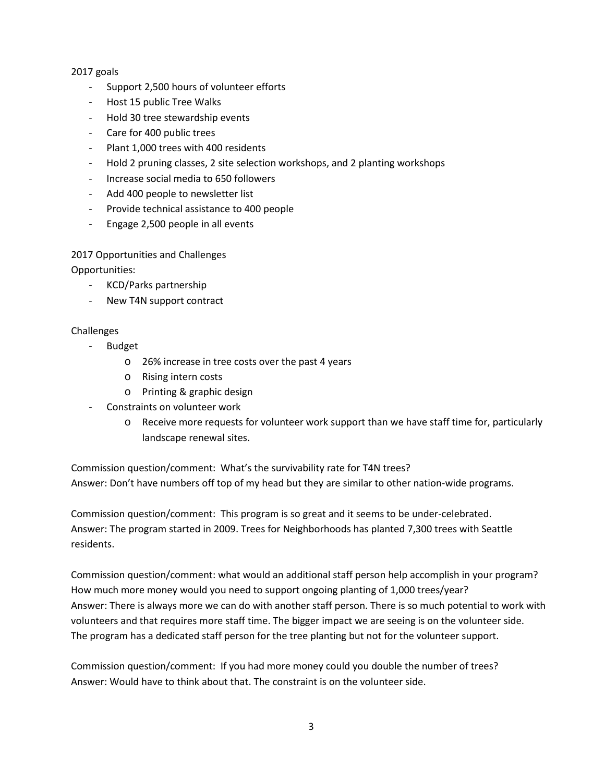# 2017 goals

- Support 2,500 hours of volunteer efforts
- Host 15 public Tree Walks
- Hold 30 tree stewardship events
- Care for 400 public trees
- Plant 1,000 trees with 400 residents
- Hold 2 pruning classes, 2 site selection workshops, and 2 planting workshops
- Increase social media to 650 followers
- Add 400 people to newsletter list
- Provide technical assistance to 400 people
- Engage 2,500 people in all events

# 2017 Opportunities and Challenges

Opportunities:

- KCD/Parks partnership
- New T4N support contract

# Challenges

- Budget
	- o 26% increase in tree costs over the past 4 years
	- o Rising intern costs
	- o Printing & graphic design
- Constraints on volunteer work
	- o Receive more requests for volunteer work support than we have staff time for, particularly landscape renewal sites.

Commission question/comment: What's the survivability rate for T4N trees? Answer: Don't have numbers off top of my head but they are similar to other nation-wide programs.

Commission question/comment: This program is so great and it seems to be under-celebrated. Answer: The program started in 2009. Trees for Neighborhoods has planted 7,300 trees with Seattle residents.

Commission question/comment: what would an additional staff person help accomplish in your program? How much more money would you need to support ongoing planting of 1,000 trees/year? Answer: There is always more we can do with another staff person. There is so much potential to work with volunteers and that requires more staff time. The bigger impact we are seeing is on the volunteer side. The program has a dedicated staff person for the tree planting but not for the volunteer support.

Commission question/comment: If you had more money could you double the number of trees? Answer: Would have to think about that. The constraint is on the volunteer side.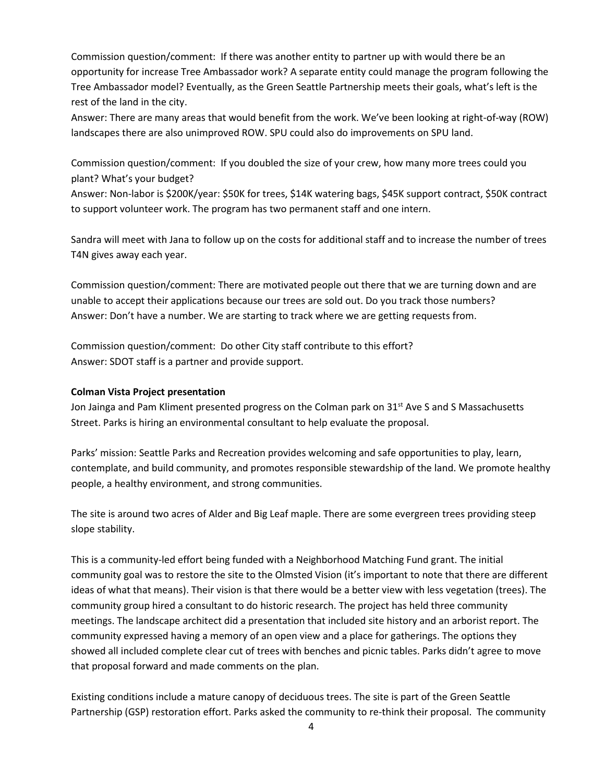Commission question/comment: If there was another entity to partner up with would there be an opportunity for increase Tree Ambassador work? A separate entity could manage the program following the Tree Ambassador model? Eventually, as the Green Seattle Partnership meets their goals, what's left is the rest of the land in the city.

Answer: There are many areas that would benefit from the work. We've been looking at right-of-way (ROW) landscapes there are also unimproved ROW. SPU could also do improvements on SPU land.

Commission question/comment: If you doubled the size of your crew, how many more trees could you plant? What's your budget?

Answer: Non-labor is \$200K/year: \$50K for trees, \$14K watering bags, \$45K support contract, \$50K contract to support volunteer work. The program has two permanent staff and one intern.

Sandra will meet with Jana to follow up on the costs for additional staff and to increase the number of trees T4N gives away each year.

Commission question/comment: There are motivated people out there that we are turning down and are unable to accept their applications because our trees are sold out. Do you track those numbers? Answer: Don't have a number. We are starting to track where we are getting requests from.

Commission question/comment: Do other City staff contribute to this effort? Answer: SDOT staff is a partner and provide support.

# **Colman Vista Project presentation**

Jon Jainga and Pam Kliment presented progress on the Colman park on 31<sup>st</sup> Ave S and S Massachusetts Street. Parks is hiring an environmental consultant to help evaluate the proposal.

Parks' mission: Seattle Parks and Recreation provides welcoming and safe opportunities to play, learn, contemplate, and build community, and promotes responsible stewardship of the land. We promote healthy people, a healthy environment, and strong communities.

The site is around two acres of Alder and Big Leaf maple. There are some evergreen trees providing steep slope stability.

This is a community-led effort being funded with a Neighborhood Matching Fund grant. The initial community goal was to restore the site to the Olmsted Vision (it's important to note that there are different ideas of what that means). Their vision is that there would be a better view with less vegetation (trees). The community group hired a consultant to do historic research. The project has held three community meetings. The landscape architect did a presentation that included site history and an arborist report. The community expressed having a memory of an open view and a place for gatherings. The options they showed all included complete clear cut of trees with benches and picnic tables. Parks didn't agree to move that proposal forward and made comments on the plan.

Existing conditions include a mature canopy of deciduous trees. The site is part of the Green Seattle Partnership (GSP) restoration effort. Parks asked the community to re-think their proposal. The community